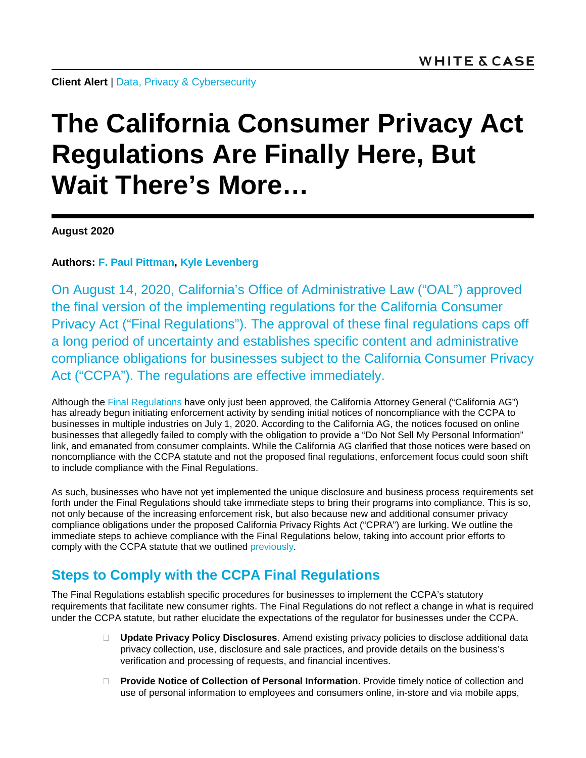**Client Alert** | Data, Privacy [& Cybersecurity](https://www.whitecase.com/law/practices/data-privacy-cybersecurity)

# **The California Consumer Privacy Act Regulations Are Finally Here, But Wait There's More…**

**August 2020**

**Authors: [F. Paul Pittman,](https://www.whitecase.com/people/paul-pittman) Kyle Levenberg**

On August 14, 2020, California's Office of Administrative Law ("OAL") approved the final version of the implementing regulations for the California Consumer Privacy Act ("Final Regulations"). The approval of these final regulations caps off a long period of uncertainty and establishes specific content and administrative compliance obligations for businesses subject to the California Consumer Privacy Act ("CCPA"). The regulations are effective immediately.

Although the [Final Regulations](https://www.oag.ca.gov/sites/all/files/agweb/pdfs/privacy/oal-sub-final-text-of-regs.pdf?) have only just been approved, the California Attorney General ("California AG") has already begun initiating enforcement activity by sending initial notices of noncompliance with the CCPA to businesses in multiple industries on July 1, 2020. According to the California AG, the notices focused on online businesses that allegedly failed to comply with the obligation to provide a "Do Not Sell My Personal Information" link, and emanated from consumer complaints. While the California AG clarified that those notices were based on noncompliance with the CCPA statute and not the proposed final regulations, enforcement focus could soon shift to include compliance with the Final Regulations.

As such, businesses who have not yet implemented the unique disclosure and business process requirements set forth under the Final Regulations should take immediate steps to bring their programs into compliance. This is so, not only because of the increasing enforcement risk, but also because new and additional consumer privacy compliance obligations under the proposed California Privacy Rights Act ("CPRA") are lurking. We outline the immediate steps to achieve compliance with the Final Regulations below, taking into account prior efforts to comply with the CCPA statute that we outlined [previously.](https://www.whitecase.com/publications/alert/ccpa-100-day-compliance-checklist-its-not-just-about-privacy-policy)

# **Steps to Comply with the CCPA Final Regulations**

The Final Regulations establish specific procedures for businesses to implement the CCPA's statutory requirements that facilitate new consumer rights. The Final Regulations do not reflect a change in what is required under the CCPA statute, but rather elucidate the expectations of the regulator for businesses under the CCPA.

- **Update Privacy Policy Disclosures**. Amend existing privacy policies to disclose additional data privacy collection, use, disclosure and sale practices, and provide details on the business's verification and processing of requests, and financial incentives.
- **Provide Notice of Collection of Personal Information**. Provide timely notice of collection and use of personal information to employees and consumers online, in-store and via mobile apps,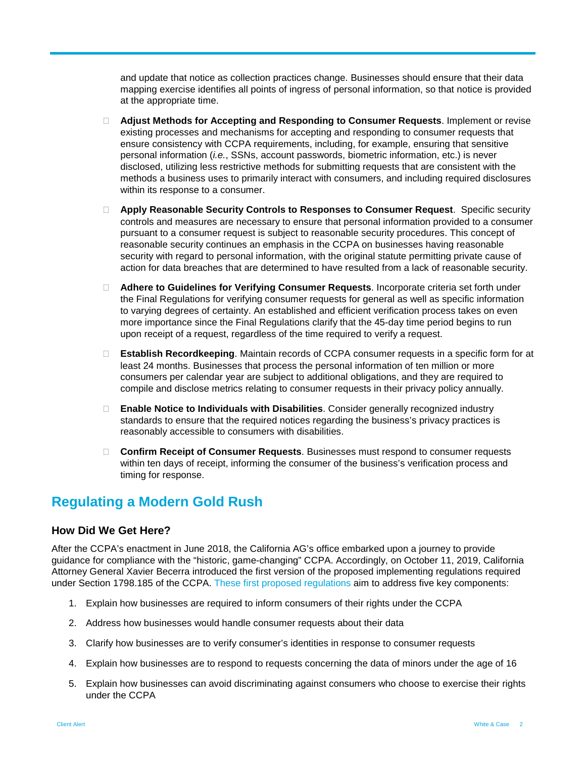and update that notice as collection practices change. Businesses should ensure that their data mapping exercise identifies all points of ingress of personal information, so that notice is provided at the appropriate time.

- **Adjust Methods for Accepting and Responding to Consumer Requests**. Implement or revise existing processes and mechanisms for accepting and responding to consumer requests that ensure consistency with CCPA requirements, including, for example, ensuring that sensitive personal information (*i.e.*, SSNs, account passwords, biometric information, etc.) is never disclosed, utilizing less restrictive methods for submitting requests that are consistent with the methods a business uses to primarily interact with consumers, and including required disclosures within its response to a consumer.
- **Apply Reasonable Security Controls to Responses to Consumer Request**. Specific security controls and measures are necessary to ensure that personal information provided to a consumer pursuant to a consumer request is subject to reasonable security procedures. This concept of reasonable security continues an emphasis in the CCPA on businesses having reasonable security with regard to personal information, with the original statute permitting private cause of action for data breaches that are determined to have resulted from a lack of reasonable security.
- **Adhere to Guidelines for Verifying Consumer Requests**. Incorporate criteria set forth under the Final Regulations for verifying consumer requests for general as well as specific information to varying degrees of certainty. An established and efficient verification process takes on even more importance since the Final Regulations clarify that the 45-day time period begins to run upon receipt of a request, regardless of the time required to verify a request.
- **Establish Recordkeeping**. Maintain records of CCPA consumer requests in a specific form for at least 24 months. Businesses that process the personal information of ten million or more consumers per calendar year are subject to additional obligations, and they are required to compile and disclose metrics relating to consumer requests in their privacy policy annually.
- **Enable Notice to Individuals with Disabilities**. Consider generally recognized industry standards to ensure that the required notices regarding the business's privacy practices is reasonably accessible to consumers with disabilities.
- **Confirm Receipt of Consumer Requests**. Businesses must respond to consumer requests within ten days of receipt, informing the consumer of the business's verification process and timing for response.

# **Regulating a Modern Gold Rush**

## **How Did We Get Here?**

After the CCPA's enactment in June 2018, the California AG's office embarked upon a journey to provide guidance for compliance with the "historic, game-changing" CCPA. Accordingly, on October 11, 2019, California Attorney General Xavier Becerra introduced the first version of the proposed implementing regulations required under Section 1798.185 of the CCPA. [These first proposed](https://oag.ca.gov/sites/all/files/agweb/pdfs/privacy/ccpa-proposed-regs.pdf) regulations aim to address five key components:

- 1. Explain how businesses are required to inform consumers of their rights under the CCPA
- 2. Address how businesses would handle consumer requests about their data
- 3. Clarify how businesses are to verify consumer's identities in response to consumer requests
- 4. Explain how businesses are to respond to requests concerning the data of minors under the age of 16
- 5. Explain how businesses can avoid discriminating against consumers who choose to exercise their rights under the CCPA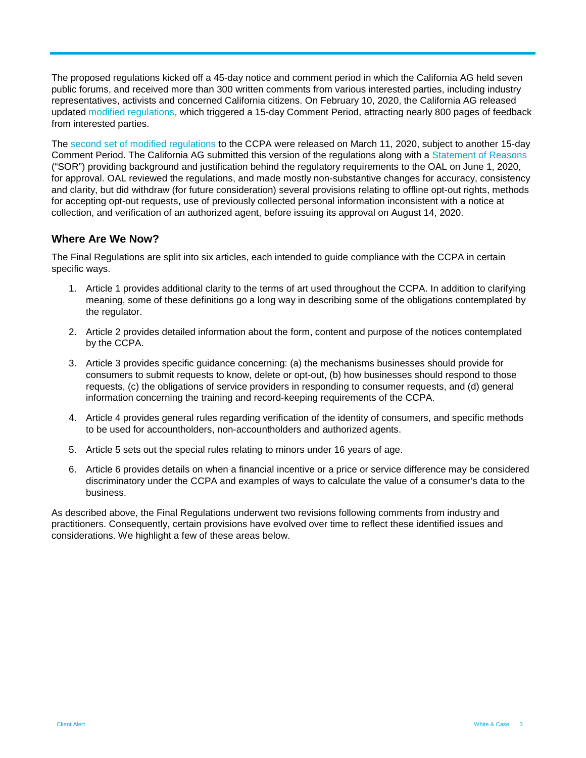The proposed regulations kicked off a 45-day notice and comment period in which the California AG held seven public forums, and received more than 300 written comments from various interested parties, including industry representatives, activists and concerned California citizens. On February 10, 2020, the California AG released updated [modified regulations,](https://oag.ca.gov/sites/all/files/agweb/pdfs/privacy/ccpa-text-of-mod-redline-020720.pdf?) which triggered a 15-day Comment Period, attracting nearly 800 pages of feedback from interested parties.

The [second set of modified](https://oag.ca.gov/sites/all/files/agweb/pdfs/privacy/ccpa-text-of-second-set-mod-031120.pdf?) regulations to the CCPA were released on March 11, 2020, subject to another 15-day Comment Period. The California AG submitted this version of the regulations along with a [Statement of Reasons](https://www.oag.ca.gov/sites/all/files/agweb/pdfs/privacy/ccpa-fsor.pdf) ("SOR") providing background and justification behind the regulatory requirements to the OAL on June 1, 2020, for approval. OAL reviewed the regulations, and made mostly non-substantive changes for accuracy, consistency and clarity, but did withdraw (for future consideration) several provisions relating to offline opt-out rights, methods for accepting opt-out requests, use of previously collected personal information inconsistent with a notice at collection, and verification of an authorized agent, before issuing its approval on August 14, 2020.

## **Where Are We Now?**

The Final Regulations are split into six articles, each intended to guide compliance with the CCPA in certain specific ways.

- 1. Article 1 provides additional clarity to the terms of art used throughout the CCPA. In addition to clarifying meaning, some of these definitions go a long way in describing some of the obligations contemplated by the regulator.
- 2. Article 2 provides detailed information about the form, content and purpose of the notices contemplated by the CCPA.
- 3. Article 3 provides specific guidance concerning: (a) the mechanisms businesses should provide for consumers to submit requests to know, delete or opt-out, (b) how businesses should respond to those requests, (c) the obligations of service providers in responding to consumer requests, and (d) general information concerning the training and record-keeping requirements of the CCPA.
- 4. Article 4 provides general rules regarding verification of the identity of consumers, and specific methods to be used for accountholders, non-accountholders and authorized agents.
- 5. Article 5 sets out the special rules relating to minors under 16 years of age.
- 6. Article 6 provides details on when a financial incentive or a price or service difference may be considered discriminatory under the CCPA and examples of ways to calculate the value of a consumer's data to the business.

As described above, the Final Regulations underwent two revisions following comments from industry and practitioners. Consequently, certain provisions have evolved over time to reflect these identified issues and considerations. We highlight a few of these areas below.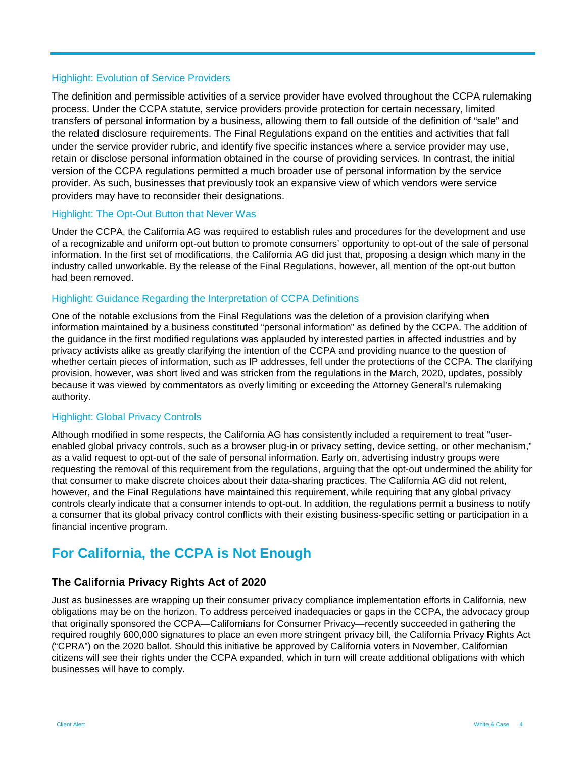## Highlight: Evolution of Service Providers

The definition and permissible activities of a service provider have evolved throughout the CCPA rulemaking process. Under the CCPA statute, service providers provide protection for certain necessary, limited transfers of personal information by a business, allowing them to fall outside of the definition of "sale" and the related disclosure requirements. The Final Regulations expand on the entities and activities that fall under the service provider rubric, and identify five specific instances where a service provider may use, retain or disclose personal information obtained in the course of providing services. In contrast, the initial version of the CCPA regulations permitted a much broader use of personal information by the service provider. As such, businesses that previously took an expansive view of which vendors were service providers may have to reconsider their designations.

#### Highlight: The Opt-Out Button that Never Was

Under the CCPA, the California AG was required to establish rules and procedures for the development and use of a recognizable and uniform opt-out button to promote consumers' opportunity to opt-out of the sale of personal information. In the first set of modifications, the California AG did just that, proposing a design which many in the industry called unworkable. By the release of the Final Regulations, however, all mention of the opt-out button had been removed.

#### Highlight: Guidance Regarding the Interpretation of CCPA Definitions

One of the notable exclusions from the Final Regulations was the deletion of a provision clarifying when information maintained by a business constituted "personal information" as defined by the CCPA. The addition of the guidance in the first modified regulations was applauded by interested parties in affected industries and by privacy activists alike as greatly clarifying the intention of the CCPA and providing nuance to the question of whether certain pieces of information, such as IP addresses, fell under the protections of the CCPA. The clarifying provision, however, was short lived and was stricken from the regulations in the March, 2020, updates, possibly because it was viewed by commentators as overly limiting or exceeding the Attorney General's rulemaking authority.

#### Highlight: Global Privacy Controls

Although modified in some respects, the California AG has consistently included a requirement to treat "userenabled global privacy controls, such as a browser plug-in or privacy setting, device setting, or other mechanism," as a valid request to opt-out of the sale of personal information. Early on, advertising industry groups were requesting the removal of this requirement from the regulations, arguing that the opt-out undermined the ability for that consumer to make discrete choices about their data-sharing practices. The California AG did not relent, however, and the Final Regulations have maintained this requirement, while requiring that any global privacy controls clearly indicate that a consumer intends to opt-out. In addition, the regulations permit a business to notify a consumer that its global privacy control conflicts with their existing business-specific setting or participation in a financial incentive program.

# **For California, the CCPA is Not Enough**

## **The California Privacy Rights Act of 2020**

Just as businesses are wrapping up their consumer privacy compliance implementation efforts in California, new obligations may be on the horizon. To address perceived inadequacies or gaps in the CCPA, the advocacy group that originally sponsored the CCPA—Californians for Consumer Privacy—recently succeeded in gathering the required roughly 600,000 signatures to place an even more stringent privacy bill, the California Privacy Rights Act ("CPRA") on the 2020 ballot. Should this initiative be approved by California voters in November, Californian citizens will see their rights under the CCPA expanded, which in turn will create additional obligations with which businesses will have to comply.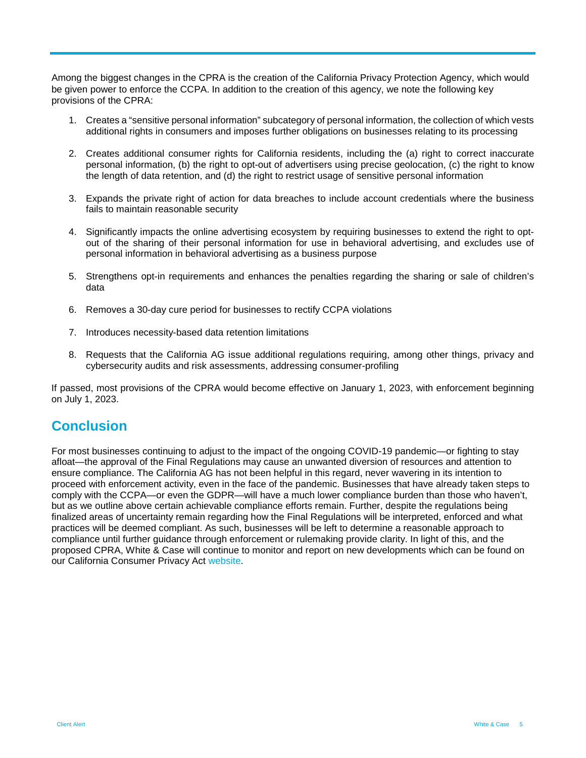Among the biggest changes in the CPRA is the creation of the California Privacy Protection Agency, which would be given power to enforce the CCPA. In addition to the creation of this agency, we note the following key provisions of the CPRA:

- 1. Creates a "sensitive personal information" subcategory of personal information, the collection of which vests additional rights in consumers and imposes further obligations on businesses relating to its processing
- 2. Creates additional consumer rights for California residents, including the (a) right to correct inaccurate personal information, (b) the right to opt-out of advertisers using precise geolocation, (c) the right to know the length of data retention, and (d) the right to restrict usage of sensitive personal information
- 3. Expands the private right of action for data breaches to include account credentials where the business fails to maintain reasonable security
- 4. Significantly impacts the online advertising ecosystem by requiring businesses to extend the right to optout of the sharing of their personal information for use in behavioral advertising, and excludes use of personal information in behavioral advertising as a business purpose
- 5. Strengthens opt-in requirements and enhances the penalties regarding the sharing or sale of children's data
- 6. Removes a 30-day cure period for businesses to rectify CCPA violations
- 7. Introduces necessity-based data retention limitations
- 8. Requests that the California AG issue additional regulations requiring, among other things, privacy and cybersecurity audits and risk assessments, addressing consumer-profiling

If passed, most provisions of the CPRA would become effective on January 1, 2023, with enforcement beginning on July 1, 2023.

# **Conclusion**

For most businesses continuing to adjust to the impact of the ongoing COVID-19 pandemic—or fighting to stay afloat—the approval of the Final Regulations may cause an unwanted diversion of resources and attention to ensure compliance. The California AG has not been helpful in this regard, never wavering in its intention to proceed with enforcement activity, even in the face of the pandemic. Businesses that have already taken steps to comply with the CCPA—or even the GDPR—will have a much lower compliance burden than those who haven't, but as we outline above certain achievable compliance efforts remain. Further, despite the regulations being finalized areas of uncertainty remain regarding how the Final Regulations will be interpreted, enforced and what practices will be deemed compliant. As such, businesses will be left to determine a reasonable approach to compliance until further guidance through enforcement or rulemaking provide clarity. In light of this, and the proposed CPRA, White & Case will continue to monitor and report on new developments which can be found on our California Consumer Privacy Act [website.](https://www.whitecase.com/publications/article/california-consumer-privacy-act-guide)